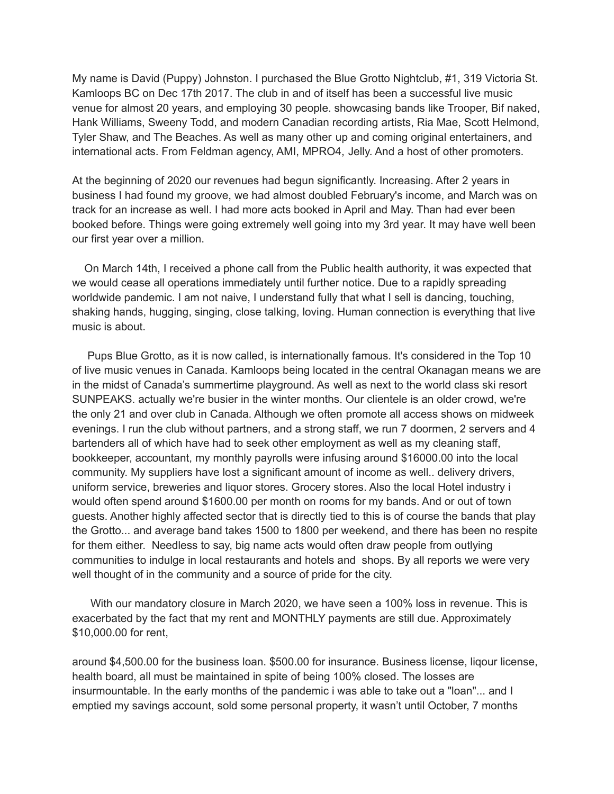My name is David (Puppy) Johnston. I purchased the Blue Grotto Nightclub, #1, 319 Victoria St. Kamloops BC on Dec 17th 2017. The club in and of itself has been a successful live music venue for almost 20 years, and employing 30 people. showcasing bands like Trooper, Bif naked, Hank Williams, Sweeny Todd, and modern Canadian recording artists, Ria Mae, Scott Helmond, Tyler Shaw, and The Beaches. As well as many other up and coming original entertainers, and international acts. From Feldman agency, AMI, MPRO4, Jelly. And a host of other promoters.

At the beginning of 2020 our revenues had begun significantly. Increasing. After 2 years in business I had found my groove, we had almost doubled February's income, and March was on track for an increase as well. I had more acts booked in April and May. Than had ever been booked before. Things were going extremely well going into my 3rd year. It may have well been our first year over a million.

On March 14th, I received a phone call from the Public health authority, it was expected that we would cease all operations immediately until further notice. Due to a rapidly spreading worldwide pandemic. I am not naive, I understand fully that what I sell is dancing, touching, shaking hands, hugging, singing, close talking, loving. Human connection is everything that live music is about.

Pups Blue Grotto, as it is now called, is internationally famous. It's considered in the Top 10 of live music venues in Canada. Kamloops being located in the central Okanagan means we are in the midst of Canada's summertime playground. As well as next to the world class ski resort SUNPEAKS. actually we're busier in the winter months. Our clientele is an older crowd, we're the only 21 and over club in Canada. Although we often promote all access shows on midweek evenings. I run the club without partners, and a strong staff, we run 7 doormen, 2 servers and 4 bartenders all of which have had to seek other employment as well as my cleaning staff, bookkeeper, accountant, my monthly payrolls were infusing around \$16000.00 into the local community. My suppliers have lost a significant amount of income as well.. delivery drivers, uniform service, breweries and liquor stores. Grocery stores. Also the local Hotel industry i would often spend around \$1600.00 per month on rooms for my bands. And or out of town guests. Another highly affected sector that is directly tied to this is of course the bands that play the Grotto... and average band takes 1500 to 1800 per weekend, and there has been no respite for them either. Needless to say, big name acts would often draw people from outlying communities to indulge in local restaurants and hotels and shops. By all reports we were very well thought of in the community and a source of pride for the city.

With our mandatory closure in March 2020, we have seen a 100% loss in revenue. This is exacerbated by the fact that my rent and MONTHLY payments are still due. Approximately \$10,000.00 for rent,

around \$4,500.00 for the business loan. \$500.00 for insurance. Business license, liqour license, health board, all must be maintained in spite of being 100% closed. The losses are insurmountable. In the early months of the pandemic i was able to take out a "loan"... and I emptied my savings account, sold some personal property, it wasn't until October, 7 months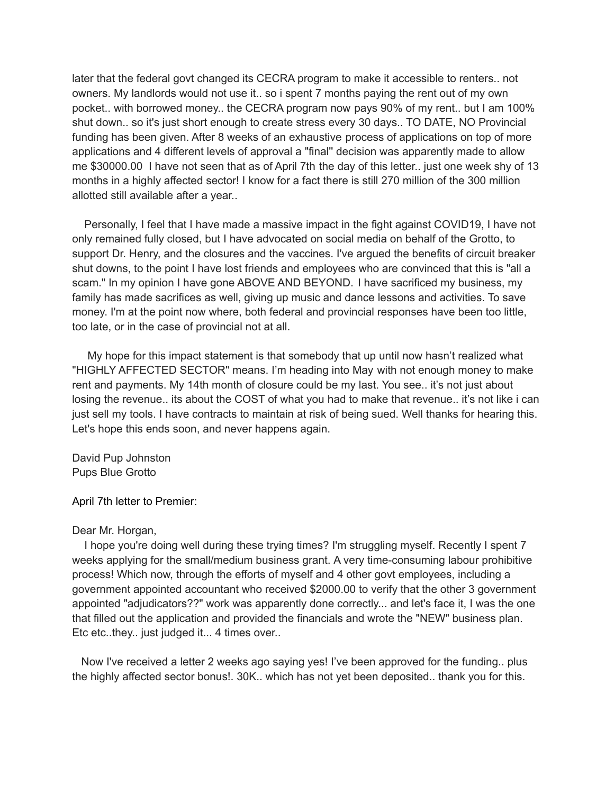later that the federal govt changed its CECRA program to make it accessible to renters.. not owners. My landlords would not use it.. so i spent 7 months paying the rent out of my own pocket.. with borrowed money.. the CECRA program now pays 90% of my rent.. but I am 100% shut down.. so it's just short enough to create stress every 30 days.. TO DATE, NO Provincial funding has been given. After 8 weeks of an exhaustive process of applications on top of more applications and 4 different levels of approval a "final'' decision was apparently made to allow me \$30000.00 I have not seen that as of April 7th the day of this letter.. just one week shy of 13 months in a highly affected sector! I know for a fact there is still 270 million of the 300 million allotted still available after a year..

Personally, I feel that I have made a massive impact in the fight against COVID19, I have not only remained fully closed, but I have advocated on social media on behalf of the Grotto, to support Dr. Henry, and the closures and the vaccines. I've argued the benefits of circuit breaker shut downs, to the point I have lost friends and employees who are convinced that this is "all a scam." In my opinion I have gone ABOVE AND BEYOND. I have sacrificed my business, my family has made sacrifices as well, giving up music and dance lessons and activities. To save money. I'm at the point now where, both federal and provincial responses have been too little, too late, or in the case of provincial not at all.

My hope for this impact statement is that somebody that up until now hasn't realized what "HIGHLY AFFECTED SECTOR" means. I'm heading into May with not enough money to make rent and payments. My 14th month of closure could be my last. You see.. it's not just about losing the revenue.. its about the COST of what you had to make that revenue.. it's not like i can just sell my tools. I have contracts to maintain at risk of being sued. Well thanks for hearing this. Let's hope this ends soon, and never happens again.

David Pup Johnston Pups Blue Grotto

April 7th letter to Premier:

## Dear Mr. Horgan,

I hope you're doing well during these trying times? I'm struggling myself. Recently I spent 7 weeks applying for the small/medium business grant. A very time-consuming labour prohibitive process! Which now, through the efforts of myself and 4 other govt employees, including a government appointed accountant who received \$2000.00 to verify that the other 3 government appointed "adjudicators??" work was apparently done correctly... and let's face it, I was the one that filled out the application and provided the financials and wrote the "NEW" business plan. Etc etc..they.. just judged it... 4 times over..

Now I've received a letter 2 weeks ago saying yes! I've been approved for the funding.. plus the highly affected sector bonus!. 30K.. which has not yet been deposited.. thank you for this.